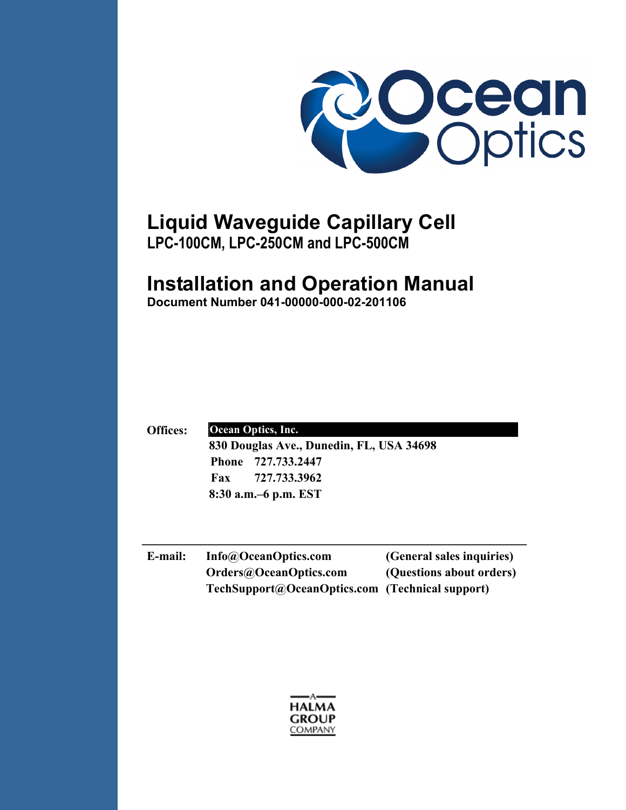

# **Liquid Waveguide Capillary Cell**

**LPC-100CM, LPC-250CM and LPC-500CM**

### **Installation and Operation Manual**

**Document Number 041-00000-000-02-201106**

#### **Offices: Ocean Optics, Inc.**

**830 Douglas Ave., Dunedin, FL, USA 34698 Phone 727.733.2447 Fax 727.733.3962 8:30 a.m.–6 p.m. EST** 

**E-mail: Info@OceanOptics.com (General sales inquiries) Orders@OceanOptics.com (Questions about orders) TechSupport@OceanOptics.com (Technical support)**

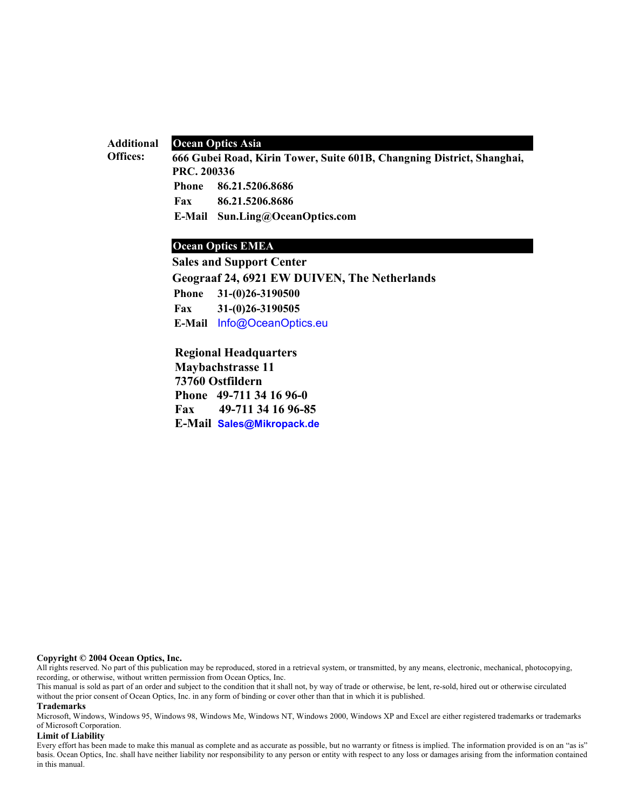#### **Additional Ocean Optics Asia**

**Offices:**

**666 Gubei Road, Kirin Tower, Suite 601B, Changning District, Shanghai, PRC. 200336 Phone 86.21.5206.8686 Fax 86.21.5206.8686**

**E-Mail Sun.Ling@OceanOptics.com**

#### **Ocean Optics EMEA**

**Sales and Support Center Geograaf 24, 6921 EW DUIVEN, The Netherlands Phone 31-(0)26-3190500 Fax 31-(0)26-3190505 E-Mail** Info@OceanOptics.eu

 **Regional Headquarters Maybachstrasse 11 73760 Ostfildern Phone 49-711 34 16 96-0 Fax 49-711 34 16 96-85 E-Mail Sales@Mikropack.de**

#### **Copyright © 2004 Ocean Optics, Inc.**

All rights reserved. No part of this publication may be reproduced, stored in a retrieval system, or transmitted, by any means, electronic, mechanical, photocopying, recording, or otherwise, without written permission from Ocean Optics, Inc.

This manual is sold as part of an order and subject to the condition that it shall not, by way of trade or otherwise, be lent, re-sold, hired out or otherwise circulated without the prior consent of Ocean Optics, Inc. in any form of binding or cover other than that in which it is published.

#### **Trademarks**

Microsoft, Windows, Windows 95, Windows 98, Windows Me, Windows NT, Windows 2000, Windows XP and Excel are either registered trademarks or trademarks of Microsoft Corporation.

#### **Limit of Liability**

Every effort has been made to make this manual as complete and as accurate as possible, but no warranty or fitness is implied. The information provided is on an "as is" basis. Ocean Optics, Inc. shall have neither liability nor responsibility to any person or entity with respect to any loss or damages arising from the information contained in this manual.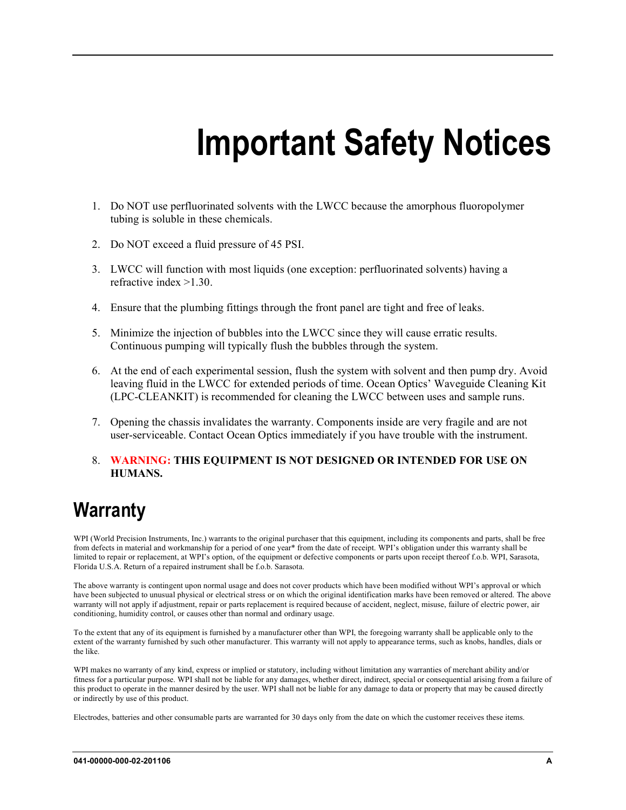# **Important Safety Notices**

- <span id="page-2-0"></span>1. Do NOT use perfluorinated solvents with the LWCC because the amorphous fluoropolymer tubing is soluble in these chemicals.
- 2. Do NOT exceed a fluid pressure of 45 PSI.
- 3. LWCC will function with most liquids (one exception: perfluorinated solvents) having a refractive index >1.30.
- 4. Ensure that the plumbing fittings through the front panel are tight and free of leaks.
- 5. Minimize the injection of bubbles into the LWCC since they will cause erratic results. Continuous pumping will typically flush the bubbles through the system.
- 6. At the end of each experimental session, flush the system with solvent and then pump dry. Avoid leaving fluid in the LWCC for extended periods of time. Ocean Optics' Waveguide Cleaning Kit (LPC-CLEANKIT) is recommended for cleaning the LWCC between uses and sample runs.
- <span id="page-2-1"></span>7. Opening the chassis invalidates the warranty. Components inside are very fragile and are not user-serviceable. Contact Ocean Optics immediately if you have trouble with the instrument.
- 8. **WARNING: THIS EQUIPMENT IS NOT DESIGNED OR INTENDED FOR USE ON HUMANS.**

### **Warranty**

WPI (World Precision Instruments, Inc.) warrants to the original purchaser that this equipment, including its components and parts, shall be free from defects in material and workmanship for a period of one year\* from the date of receipt. WPI's obligation under this warranty shall be limited to repair or replacement, at WPI's option, of the equipment or defective components or parts upon receipt thereof f.o.b. WPI, Sarasota, Florida U.S.A. Return of a repaired instrument shall be f.o.b. Sarasota.

The above warranty is contingent upon normal usage and does not cover products which have been modified without WPI's approval or which have been subjected to unusual physical or electrical stress or on which the original identification marks have been removed or altered. The above warranty will not apply if adjustment, repair or parts replacement is required because of accident, neglect, misuse, failure of electric power, air conditioning, humidity control, or causes other than normal and ordinary usage.

To the extent that any of its equipment is furnished by a manufacturer other than WPI, the foregoing warranty shall be applicable only to the extent of the warranty furnished by such other manufacturer. This warranty will not apply to appearance terms, such as knobs, handles, dials or the like.

WPI makes no warranty of any kind, express or implied or statutory, including without limitation any warranties of merchant ability and/or fitness for a particular purpose. WPI shall not be liable for any damages, whether direct, indirect, special or consequential arising from a failure of this product to operate in the manner desired by the user. WPI shall not be liable for any damage to data or property that may be caused directly or indirectly by use of this product.

Electrodes, batteries and other consumable parts are warranted for 30 days only from the date on which the customer receives these items.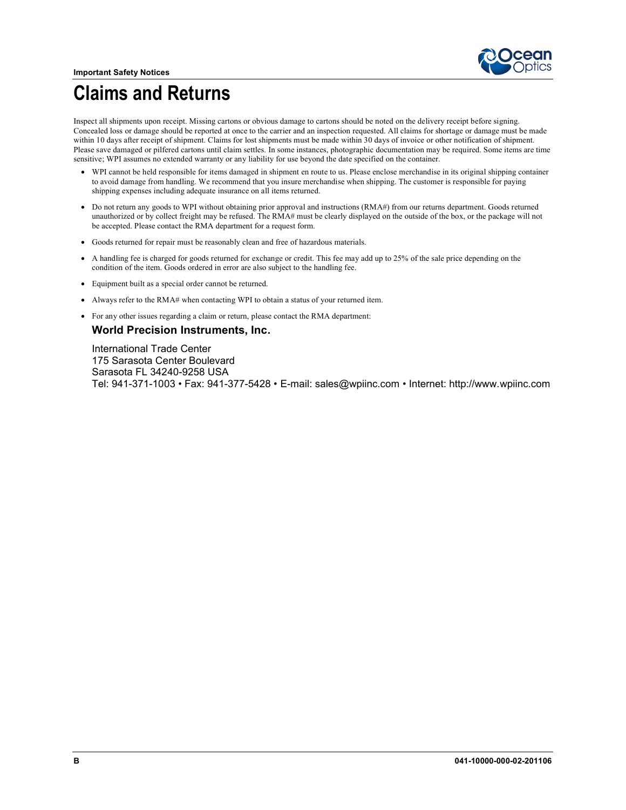

### <span id="page-3-0"></span>**Claims and Returns**

Inspect all shipments upon receipt. Missing cartons or obvious damage to cartons should be noted on the delivery receipt before signing. Concealed loss or damage should be reported at once to the carrier and an inspection requested. All claims for shortage or damage must be made within 10 days after receipt of shipment. Claims for lost shipments must be made within 30 days of invoice or other notification of shipment. Please save damaged or pilfered cartons until claim settles. In some instances, photographic documentation may be required. Some items are time sensitive; WPI assumes no extended warranty or any liability for use beyond the date specified on the container.

- WPI cannot be held responsible for items damaged in shipment en route to us. Please enclose merchandise in its original shipping container to avoid damage from handling. We recommend that you insure merchandise when shipping. The customer is responsible for paying shipping expenses including adequate insurance on all items returned.
- Do not return any goods to WPI without obtaining prior approval and instructions (RMA#) from our returns department. Goods returned unauthorized or by collect freight may be refused. The RMA# must be clearly displayed on the outside of the box, or the package will not be accepted. Please contact the RMA department for a request form.
- Goods returned for repair must be reasonably clean and free of hazardous materials.
- A handling fee is charged for goods returned for exchange or credit. This fee may add up to 25% of the sale price depending on the condition of the item. Goods ordered in error are also subject to the handling fee.
- Equipment built as a special order cannot be returned.
- Always refer to the RMA# when contacting WPI to obtain a status of your returned item.
- For any other issues regarding a claim or return, please contact the RMA department:

#### **World Precision Instruments, Inc.**

International Trade Center 175 Sarasota Center Boulevard Sarasota FL 34240-9258 USA Tel: 941-371-1003 • Fax: 941-377-5428 • E-mail: sales@wpiinc.com • Internet: http://www.wpiinc.com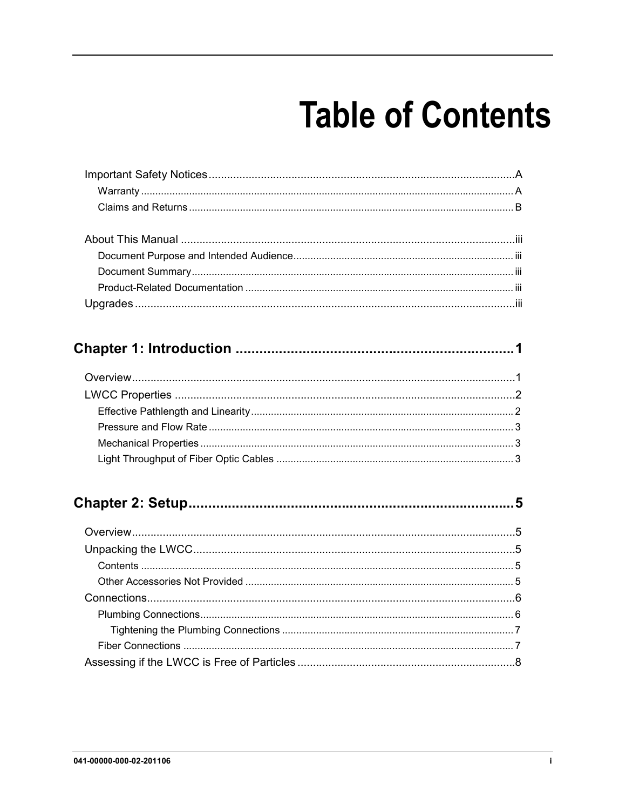# **Table of Contents**

### 

###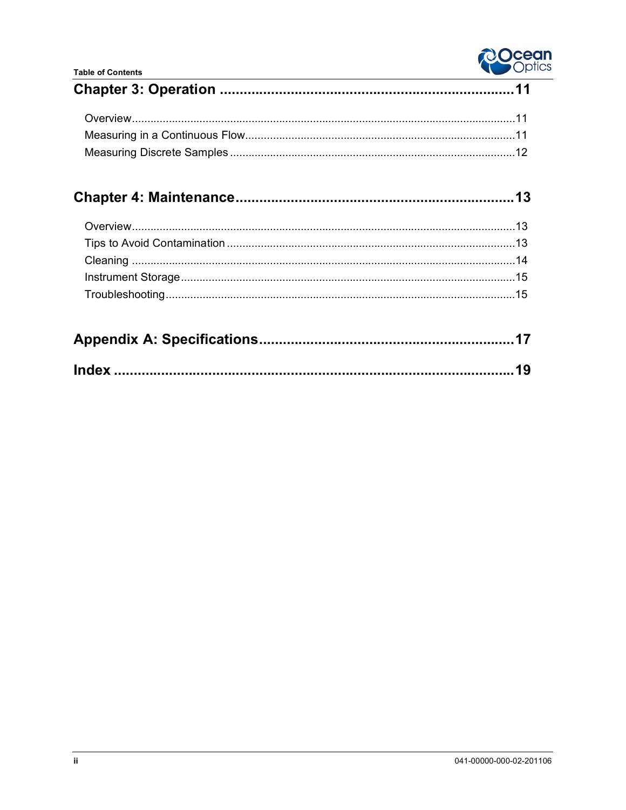

###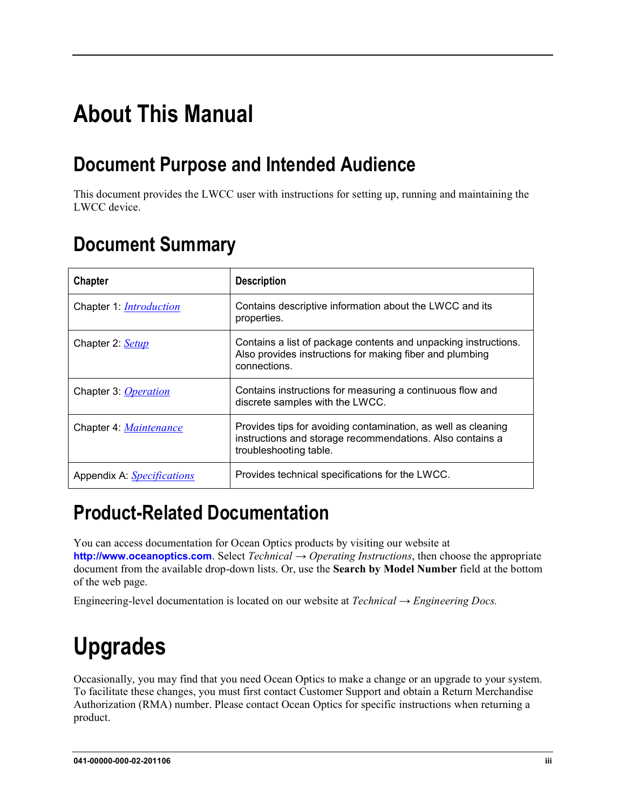# <span id="page-6-1"></span><span id="page-6-0"></span>**About This Manual**

### <span id="page-6-2"></span>**Document Purpose and Intended Audience**

This document provides the LWCC user with instructions for setting up, running and maintaining the LWCC device.

### **Document Summary**

| <b>Chapter</b>                 | <b>Description</b>                                                                                                                                   |
|--------------------------------|------------------------------------------------------------------------------------------------------------------------------------------------------|
| Chapter 1: <i>Introduction</i> | Contains descriptive information about the LWCC and its<br>properties.                                                                               |
| Chapter 2: Setup               | Contains a list of package contents and unpacking instructions.<br>Also provides instructions for making fiber and plumbing<br>connections.          |
| Chapter 3: <i>Operation</i>    | Contains instructions for measuring a continuous flow and<br>discrete samples with the LWCC.                                                         |
| Chapter 4: Maintenance         | Provides tips for avoiding contamination, as well as cleaning<br>instructions and storage recommendations. Also contains a<br>troubleshooting table. |
| Appendix A: Specifications     | Provides technical specifications for the LWCC.                                                                                                      |

### <span id="page-6-3"></span>**Product-Related Documentation**

<span id="page-6-4"></span>You can access documentation for Ocean Optics products by visiting our website at **[http://www.oceanoptics.com](http://www.oceanoptics.com/)**. Select *Technical → Operating Instructions*, then choose the appropriate document from the available drop-down lists. Or, use the **Search by Model Number** field at the bottom of the web page.

Engineering-level documentation is located on our website at *Technical → Engineering Docs.*

# **Upgrades**

Occasionally, you may find that you need Ocean Optics to make a change or an upgrade to your system. To facilitate these changes, you must first contact Customer Support and obtain a Return Merchandise Authorization (RMA) number. Please contact Ocean Optics for specific instructions when returning a product.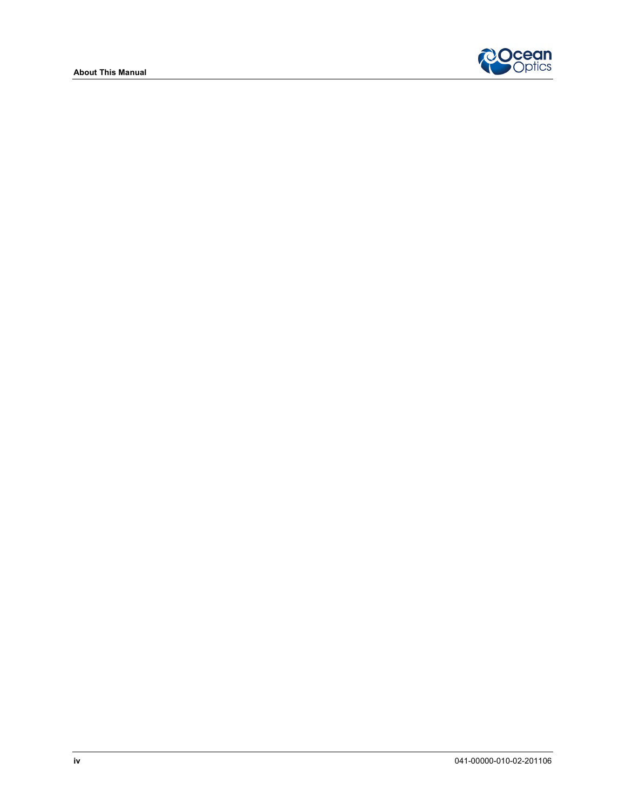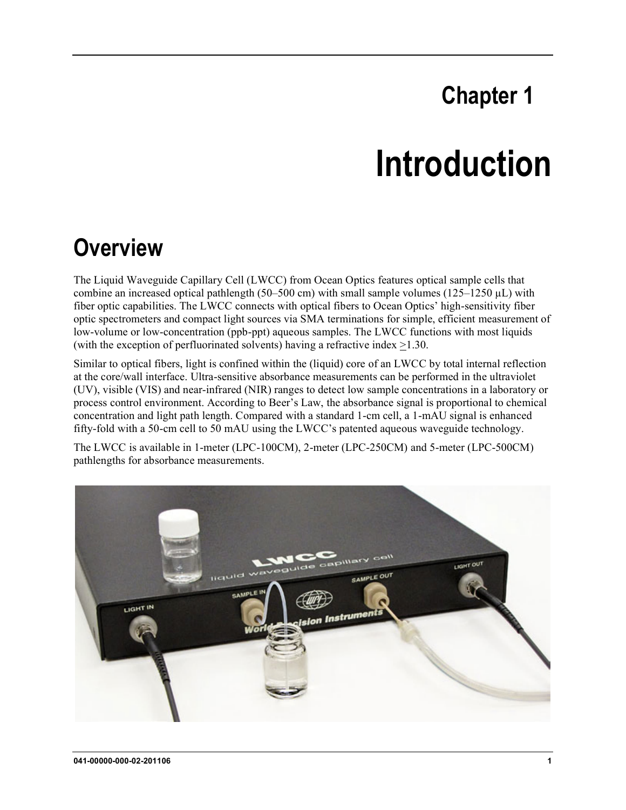# **Chapter 1**

# **Introduction**

## <span id="page-8-1"></span><span id="page-8-0"></span>**Overview**

The Liquid Waveguide Capillary Cell (LWCC) from Ocean Optics features optical sample cells that combine an increased optical pathlength (50–500 cm) with small sample volumes ( $125-1250 \mu L$ ) with fiber optic capabilities. The LWCC connects with optical fibers to Ocean Optics' high-sensitivity fiber optic spectrometers and compact light sources via SMA terminations for simple, efficient measurement of low-volume or low-concentration (ppb-ppt) aqueous samples. The LWCC functions with most liquids (with the exception of perfluorinated solvents) having a refractive index >1.30.

Similar to optical fibers, light is confined within the (liquid) core of an LWCC by total internal reflection at the core/wall interface. Ultra-sensitive absorbance measurements can be performed in the ultraviolet (UV), visible (VIS) and near-infrared (NIR) ranges to detect low sample concentrations in a laboratory or process control environment. According to Beer's Law, the absorbance signal is proportional to chemical concentration and light path length. Compared with a standard 1-cm cell, a 1-mAU signal is enhanced fifty-fold with a 50-cm cell to 50 mAU using the LWCC's patented aqueous waveguide technology.

The LWCC is available in 1-meter (LPC-100CM), 2-meter (LPC-250CM) and 5-meter (LPC-500CM) pathlengths for absorbance measurements.

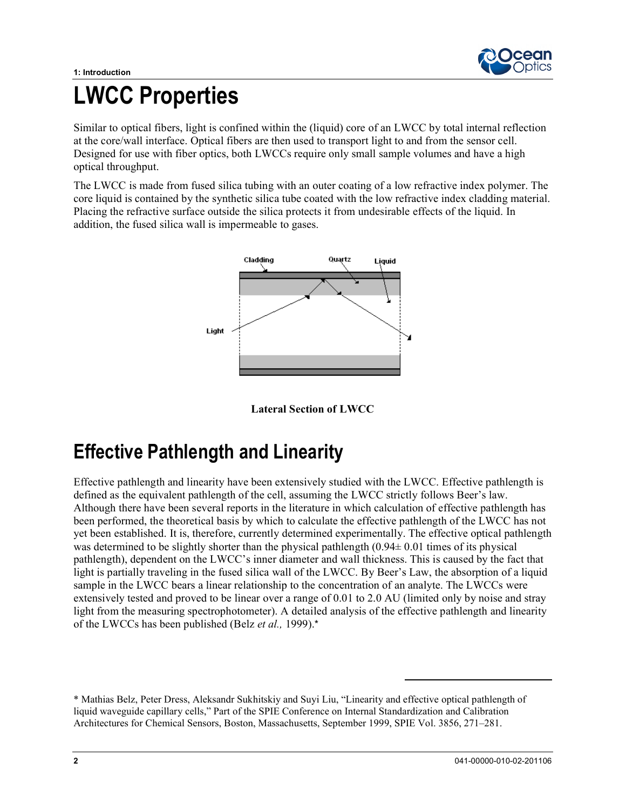

# <span id="page-9-0"></span>**LWCC Properties**

Similar to optical fibers, light is confined within the (liquid) core of an LWCC by total internal reflection at the core/wall interface. Optical fibers are then used to transport light to and from the sensor cell. Designed for use with fiber optics, both LWCCs require only small sample volumes and have a high optical throughput.

The LWCC is made from fused silica tubing with an outer coating of a low refractive index polymer. The core liquid is contained by the synthetic silica tube coated with the low refractive index cladding material. Placing the refractive surface outside the silica protects it from undesirable effects of the liquid. In addition, the fused silica wall is impermeable to gases.





### <span id="page-9-1"></span>**Effective Pathlength and Linearity**

Effective pathlength and linearity have been extensively studied with the LWCC. Effective pathlength is defined as the equivalent pathlength of the cell, assuming the LWCC strictly follows Beer's law. Although there have been several reports in the literature in which calculation of effective pathlength has been performed, the theoretical basis by which to calculate the effective pathlength of the LWCC has not yet been established. It is, therefore, currently determined experimentally. The effective optical pathlength was determined to be slightly shorter than the physical pathlength  $(0.94 \pm 0.01)$  times of its physical pathlength), dependent on the LWCC's inner diameter and wall thickness. This is caused by the fact that light is partially traveling in the fused silica wall of the LWCC. By Beer's Law, the absorption of a liquid sample in the LWCC bears a linear relationship to the concentration of an analyte. The LWCCs were extensively tested and proved to be linear over a range of 0.01 to 2.0 AU (limited only by noise and stray light from the measuring spectrophotometer). A detailed analysis of the effective pathlength and linearity of the LWCCs has been published (Belz *et al.,* 1999).\*

<sup>\*</sup> Mathias Belz, Peter Dress, Aleksandr Sukhitskiy and Suyi Liu, "Linearity and effective optical pathlength of liquid waveguide capillary cells," Part of the SPIE Conference on Internal Standardization and Calibration Architectures for Chemical Sensors, Boston, Massachusetts, September 1999, SPIE Vol. 3856, 271–281.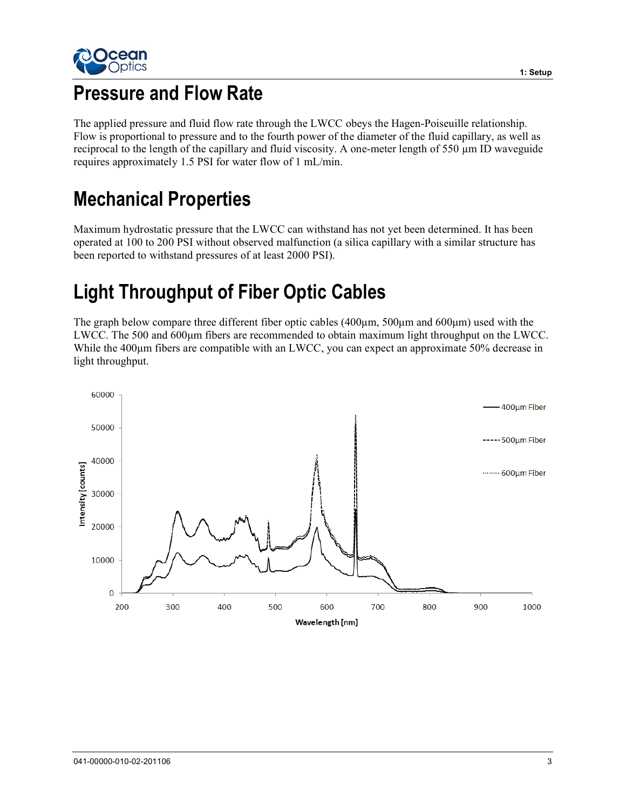<span id="page-10-0"></span>

### **Pressure and Flow Rate**

<span id="page-10-1"></span>The applied pressure and fluid flow rate through the LWCC obeys the Hagen-Poiseuille relationship. Flow is proportional to pressure and to the fourth power of the diameter of the fluid capillary, as well as reciprocal to the length of the capillary and fluid viscosity. A one-meter length of 550 µm ID waveguide requires approximately 1.5 PSI for water flow of 1 mL/min.

### **Mechanical Properties**

<span id="page-10-2"></span>Maximum hydrostatic pressure that the LWCC can withstand has not yet been determined. It has been operated at 100 to 200 PSI without observed malfunction (a silica capillary with a similar structure has been reported to withstand pressures of at least 2000 PSI).

### **Light Throughput of Fiber Optic Cables**

The graph below compare three different fiber optic cables (400μm, 500μm and 600μm) used with the LWCC. The 500 and 600 µm fibers are recommended to obtain maximum light throughput on the LWCC. While the 400μm fibers are compatible with an LWCC, you can expect an approximate 50% decrease in light throughput.

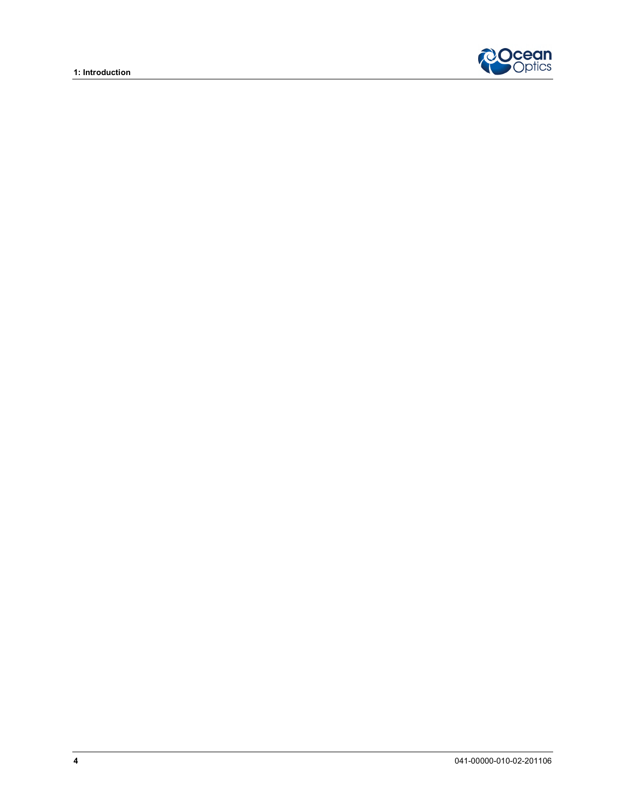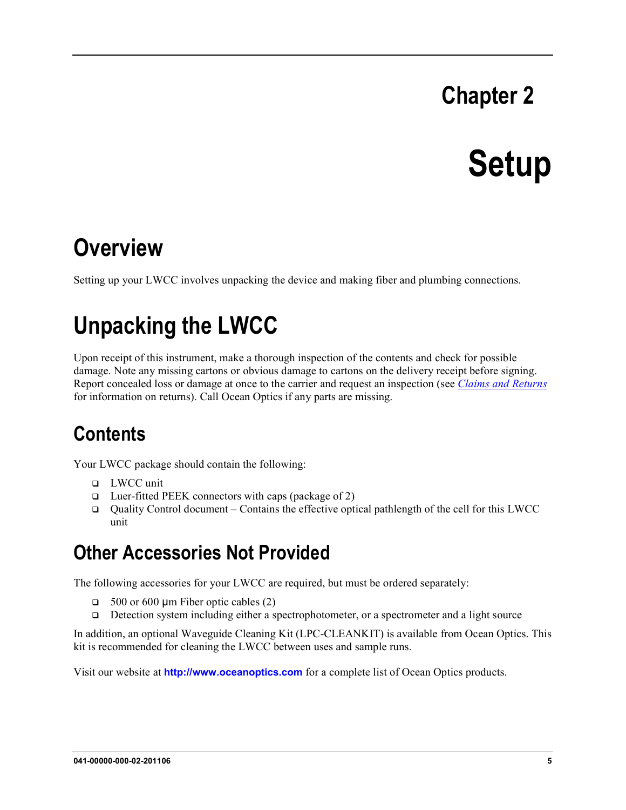# **Chapter 2**

# **Setup**

# <span id="page-12-2"></span><span id="page-12-1"></span><span id="page-12-0"></span>**Overview**

Setting up your LWCC involves unpacking the device and making fiber and plumbing connections.

# **Unpacking the LWCC**

<span id="page-12-3"></span>Upon receipt of this instrument, make a thorough inspection of the contents and check for possible damage. Note any missing cartons or obvious damage to cartons on the delivery receipt before signing. Report concealed loss or damage at once to the carrier and request an inspection (see *[Claims and Returns](#page-3-0)* for information on returns). Call Ocean Optics if any parts are missing.

### **Contents**

<span id="page-12-4"></span>Your LWCC package should contain the following:

- □ LWCC unit
- $\Box$  Luer-fitted PEEK connectors with caps (package of 2)
- Quality Control document Contains the effective optical pathlength of the cell for this LWCC unit

### **Other Accessories Not Provided**

The following accessories for your LWCC are required, but must be ordered separately:

- $\Box$  500 or 600 µm Fiber optic cables (2)
- Detection system including either a spectrophotometer, or a spectrometer and a light source

In addition, an optional Waveguide Cleaning Kit (LPC-CLEANKIT) is available from Ocean Optics. This kit is recommended for cleaning the LWCC between uses and sample runs.

Visit our website at **[http://www.oceanoptics.com](http://www.oceanoptics.com/)** for a complete list of Ocean Optics products.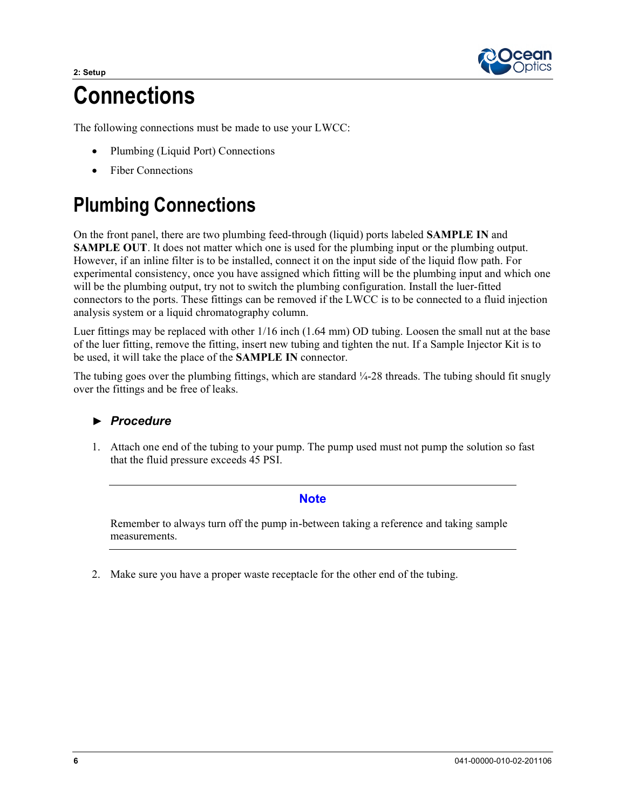

# <span id="page-13-0"></span>**Connections**

<span id="page-13-1"></span>The following connections must be made to use your LWCC:

- Plumbing (Liquid Port) Connections
- Fiber Connections

## **Plumbing Connections**

On the front panel, there are two plumbing feed-through (liquid) ports labeled **SAMPLE IN** and **SAMPLE OUT**. It does not matter which one is used for the plumbing input or the plumbing output. However, if an inline filter is to be installed, connect it on the input side of the liquid flow path. For experimental consistency, once you have assigned which fitting will be the plumbing input and which one will be the plumbing output, try not to switch the plumbing configuration. Install the luer-fitted connectors to the ports. These fittings can be removed if the LWCC is to be connected to a fluid injection analysis system or a liquid chromatography column.

Luer fittings may be replaced with other 1/16 inch (1.64 mm) OD tubing. Loosen the small nut at the base of the luer fitting, remove the fitting, insert new tubing and tighten the nut. If a Sample Injector Kit is to be used, it will take the place of the **SAMPLE IN** connector.

The tubing goes over the plumbing fittings, which are standard ¼-28 threads. The tubing should fit snugly over the fittings and be free of leaks.

#### ► *Procedure*

1. Attach one end of the tubing to your pump. The pump used must not pump the solution so fast that the fluid pressure exceeds 45 PSI.

#### **Note**

Remember to always turn off the pump in-between taking a reference and taking sample measurements.

2. Make sure you have a proper waste receptacle for the other end of the tubing.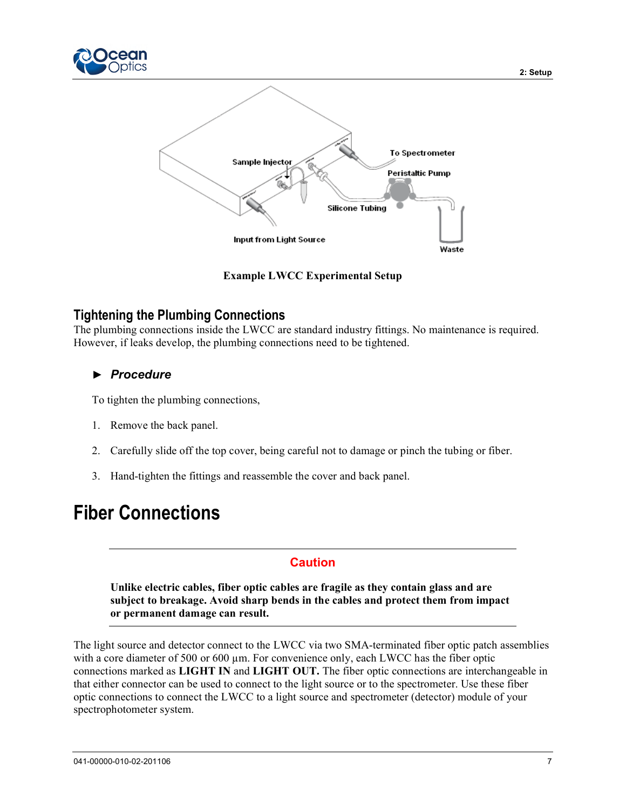



**Example LWCC Experimental Setup**

#### <span id="page-14-0"></span>**Tightening the Plumbing Connections**

The plumbing connections inside the LWCC are standard industry fittings. No maintenance is required. However, if leaks develop, the plumbing connections need to be tightened.

#### ► *Procedure*

To tighten the plumbing connections,

- 1. Remove the back panel.
- <span id="page-14-1"></span>2. Carefully slide off the top cover, being careful not to damage or pinch the tubing or fiber.
- 3. Hand-tighten the fittings and reassemble the cover and back panel.

### **Fiber Connections**

#### **Caution**

**Unlike electric cables, fiber optic cables are fragile as they contain glass and are subject to breakage. Avoid sharp bends in the cables and protect them from impact or permanent damage can result.**

The light source and detector connect to the LWCC via two SMA-terminated fiber optic patch assemblies with a core diameter of 500 or 600  $\mu$ m. For convenience only, each LWCC has the fiber optic connections marked as **LIGHT IN** and **LIGHT OUT.** The fiber optic connections are interchangeable in that either connector can be used to connect to the light source or to the spectrometer. Use these fiber optic connections to connect the LWCC to a light source and spectrometer (detector) module of your spectrophotometer system.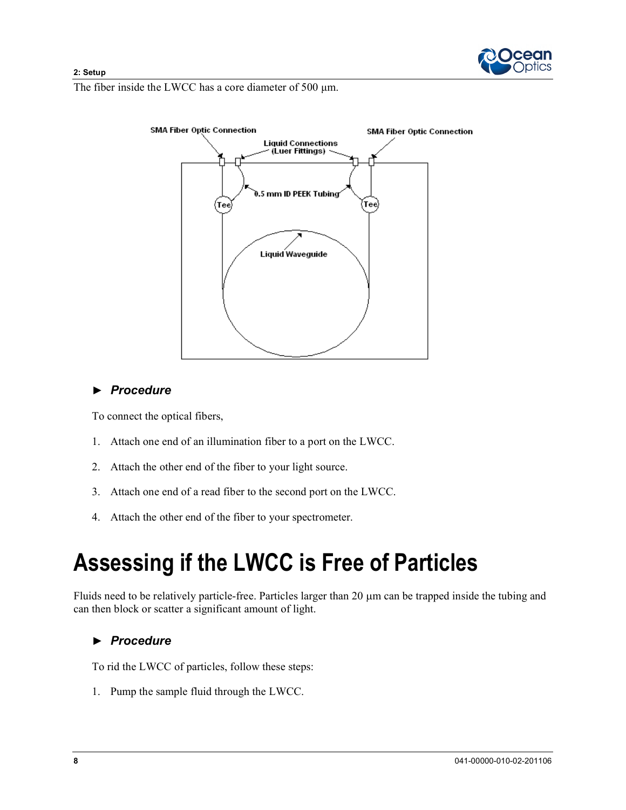

The fiber inside the LWCC has a core diameter of 500 μm.



#### ► *Procedure*

To connect the optical fibers,

- 1. Attach one end of an illumination fiber to a port on the LWCC.
- <span id="page-15-0"></span>2. Attach the other end of the fiber to your light source.
- 3. Attach one end of a read fiber to the second port on the LWCC.
- 4. Attach the other end of the fiber to your spectrometer.

# **Assessing if the LWCC is Free of Particles**

Fluids need to be relatively particle-free. Particles larger than 20  $\mu$ m can be trapped inside the tubing and can then block or scatter a significant amount of light.

#### ► *Procedure*

To rid the LWCC of particles, follow these steps:

1. Pump the sample fluid through the LWCC.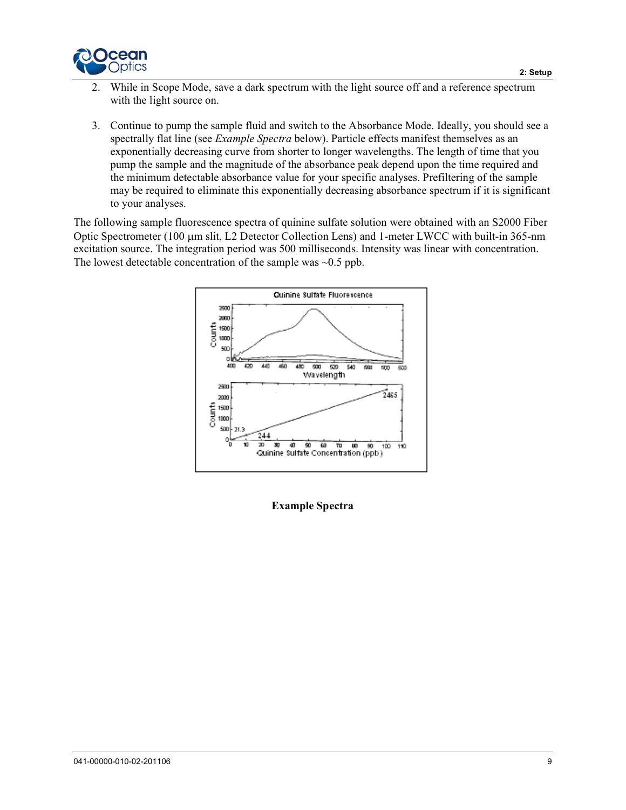

- 2. While in Scope Mode, save a dark spectrum with the light source off and a reference spectrum with the light source on.
- 3. Continue to pump the sample fluid and switch to the Absorbance Mode. Ideally, you should see a spectrally flat line (see *Example Spectra* below). Particle effects manifest themselves as an exponentially decreasing curve from shorter to longer wavelengths. The length of time that you pump the sample and the magnitude of the absorbance peak depend upon the time required and the minimum detectable absorbance value for your specific analyses. Prefiltering of the sample may be required to eliminate this exponentially decreasing absorbance spectrum if it is significant to your analyses.

The following sample fluorescence spectra of quinine sulfate solution were obtained with an S2000 Fiber Optic Spectrometer (100 µm slit, L2 Detector Collection Lens) and 1-meter LWCC with built-in 365-nm excitation source. The integration period was 500 milliseconds. Intensity was linear with concentration. The lowest detectable concentration of the sample was  $\sim 0.5$  ppb.



**Example Spectra**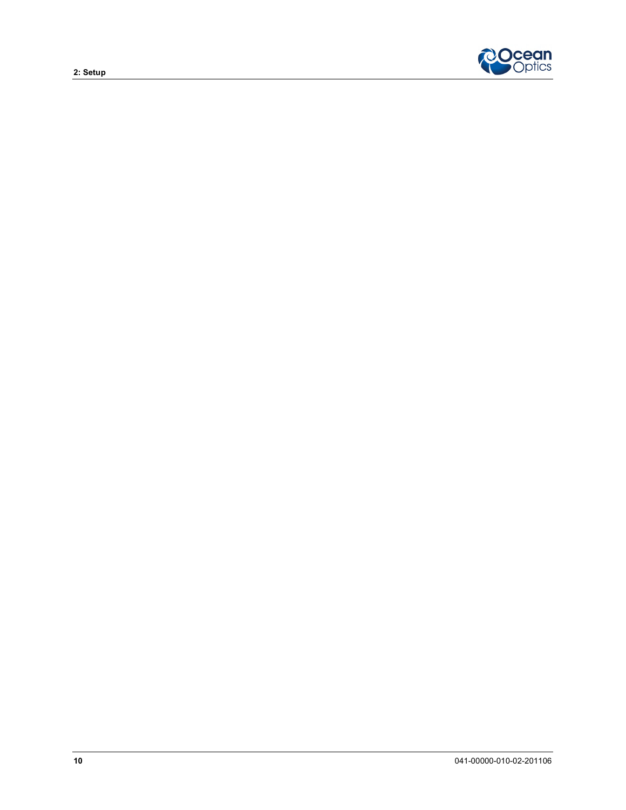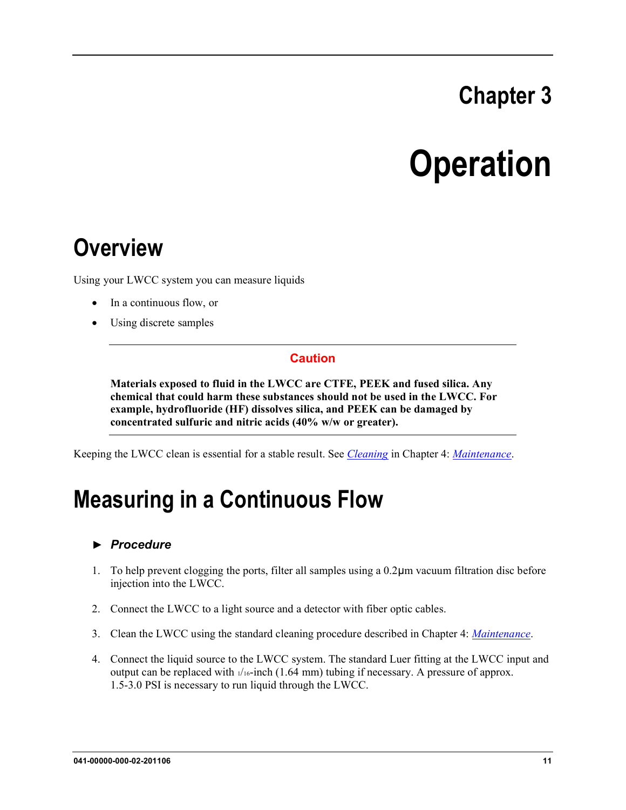# **Chapter 3**

# **Operation**

## <span id="page-18-1"></span><span id="page-18-0"></span>**Overview**

Using your LWCC system you can measure liquids

- In a continuous flow, or
- Using discrete samples

#### **Caution**

**Materials exposed to fluid in the LWCC are CTFE, PEEK and fused silica. Any chemical that could harm these substances should not be used in the LWCC. For example, hydrofluoride (HF) dissolves silica, and PEEK can be damaged by concentrated sulfuric and nitric acids (40% w/w or greater).**

<span id="page-18-2"></span>Keeping the LWCC clean is essential for a stable result. See *[Cleaning](#page-21-0)* in Chapter 4: *[Maintenance](#page-20-0)*.

## **Measuring in a Continuous Flow**

#### ► *Procedure*

- 1. To help prevent clogging the ports, filter all samples using a 0.2µm vacuum filtration disc before injection into the LWCC.
- 2. Connect the LWCC to a light source and a detector with fiber optic cables.
- 3. Clean the LWCC using the standard cleaning procedure described in Chapter 4: *[Maintenance](#page-20-0)*.
- 4. Connect the liquid source to the LWCC system. The standard Luer fitting at the LWCC input and output can be replaced with  $\frac{1}{16}$ -inch (1.64 mm) tubing if necessary. A pressure of approx. 1.5-3.0 PSI is necessary to run liquid through the LWCC.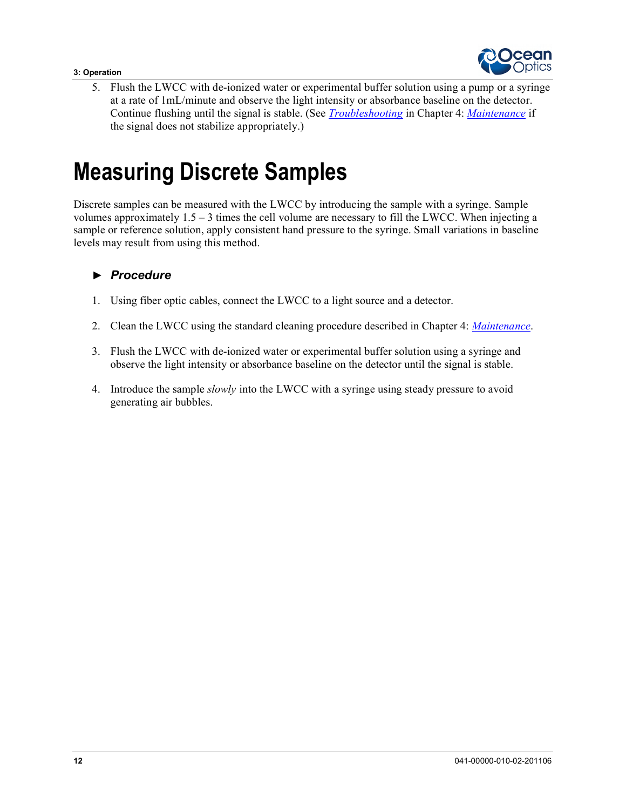

<span id="page-19-0"></span>5. Flush the LWCC with de-ionized water or experimental buffer solution using a pump or a syringe at a rate of 1mL/minute and observe the light intensity or absorbance baseline on the detector. Continue flushing until the signal is stable. (See *[Troubleshooting](#page-22-1)* in Chapter 4: *[Maintenance](#page-20-0)* if the signal does not stabilize appropriately.)

## **Measuring Discrete Samples**

Discrete samples can be measured with the LWCC by introducing the sample with a syringe. Sample volumes approximately  $1.5 - 3$  times the cell volume are necessary to fill the LWCC. When injecting a sample or reference solution, apply consistent hand pressure to the syringe. Small variations in baseline levels may result from using this method.

#### ► *Procedure*

- 1. Using fiber optic cables, connect the LWCC to a light source and a detector.
- 2. Clean the LWCC using the standard cleaning procedure described in Chapter 4: *[Maintenance](#page-20-0)*.
- 3. Flush the LWCC with de-ionized water or experimental buffer solution using a syringe and observe the light intensity or absorbance baseline on the detector until the signal is stable.
- 4. Introduce the sample *slowly* into the LWCC with a syringe using steady pressure to avoid generating air bubbles.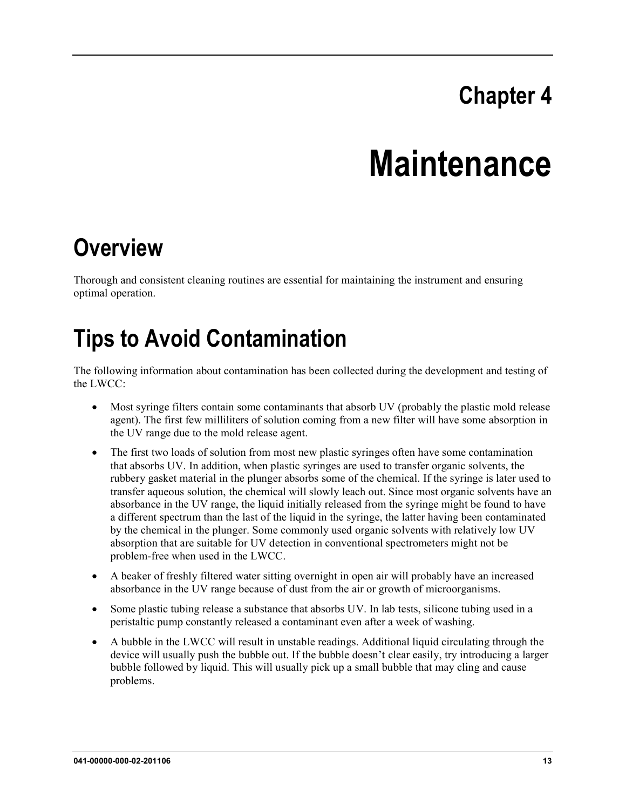# **Chapter 4**

# **Maintenance**

# <span id="page-20-2"></span><span id="page-20-1"></span><span id="page-20-0"></span>**Overview**

Thorough and consistent cleaning routines are essential for maintaining the instrument and ensuring optimal operation.

# **Tips to Avoid Contamination**

The following information about contamination has been collected during the development and testing of the LWCC:

- Most syringe filters contain some contaminants that absorb UV (probably the plastic mold release agent). The first few milliliters of solution coming from a new filter will have some absorption in the UV range due to the mold release agent.
- The first two loads of solution from most new plastic syringes often have some contamination that absorbs UV. In addition, when plastic syringes are used to transfer organic solvents, the rubbery gasket material in the plunger absorbs some of the chemical. If the syringe is later used to transfer aqueous solution, the chemical will slowly leach out. Since most organic solvents have an absorbance in the UV range, the liquid initially released from the syringe might be found to have a different spectrum than the last of the liquid in the syringe, the latter having been contaminated by the chemical in the plunger. Some commonly used organic solvents with relatively low UV absorption that are suitable for UV detection in conventional spectrometers might not be problem-free when used in the LWCC.
- A beaker of freshly filtered water sitting overnight in open air will probably have an increased absorbance in the UV range because of dust from the air or growth of microorganisms.
- Some plastic tubing release a substance that absorbs UV. In lab tests, silicone tubing used in a peristaltic pump constantly released a contaminant even after a week of washing.
- A bubble in the LWCC will result in unstable readings. Additional liquid circulating through the device will usually push the bubble out. If the bubble doesn't clear easily, try introducing a larger bubble followed by liquid. This will usually pick up a small bubble that may cling and cause problems.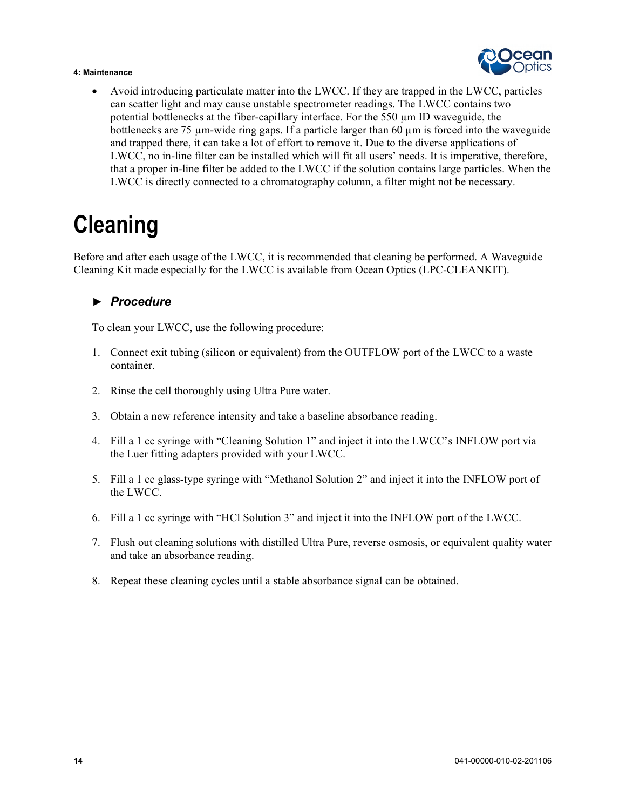#### <span id="page-21-0"></span>**4: Maintenance**



 Avoid introducing particulate matter into the LWCC. If they are trapped in the LWCC, particles can scatter light and may cause unstable spectrometer readings. The LWCC contains two potential bottlenecks at the fiber-capillary interface. For the 550 µm ID waveguide, the bottlenecks are 75  $\mu$ m-wide ring gaps. If a particle larger than 60  $\mu$ m is forced into the waveguide and trapped there, it can take a lot of effort to remove it. Due to the diverse applications of LWCC, no in-line filter can be installed which will fit all users' needs. It is imperative, therefore, that a proper in-line filter be added to the LWCC if the solution contains large particles. When the LWCC is directly connected to a chromatography column, a filter might not be necessary.

# **Cleaning**

Before and after each usage of the LWCC, it is recommended that cleaning be performed. A Waveguide Cleaning Kit made especially for the LWCC is available from Ocean Optics (LPC-CLEANKIT).

#### ► *Procedure*

To clean your LWCC, use the following procedure:

- 1. Connect exit tubing (silicon or equivalent) from the OUTFLOW port of the LWCC to a waste container.
- 2. Rinse the cell thoroughly using Ultra Pure water.
- 3. Obtain a new reference intensity and take a baseline absorbance reading.
- 4. Fill a 1 cc syringe with "Cleaning Solution 1" and inject it into the LWCC's INFLOW port via the Luer fitting adapters provided with your LWCC.
- 5. Fill a 1 cc glass-type syringe with "Methanol Solution 2" and inject it into the INFLOW port of the LWCC.
- 6. Fill a 1 cc syringe with "HCl Solution 3" and inject it into the INFLOW port of the LWCC.
- 7. Flush out cleaning solutions with distilled Ultra Pure, reverse osmosis, or equivalent quality water and take an absorbance reading.
- 8. Repeat these cleaning cycles until a stable absorbance signal can be obtained.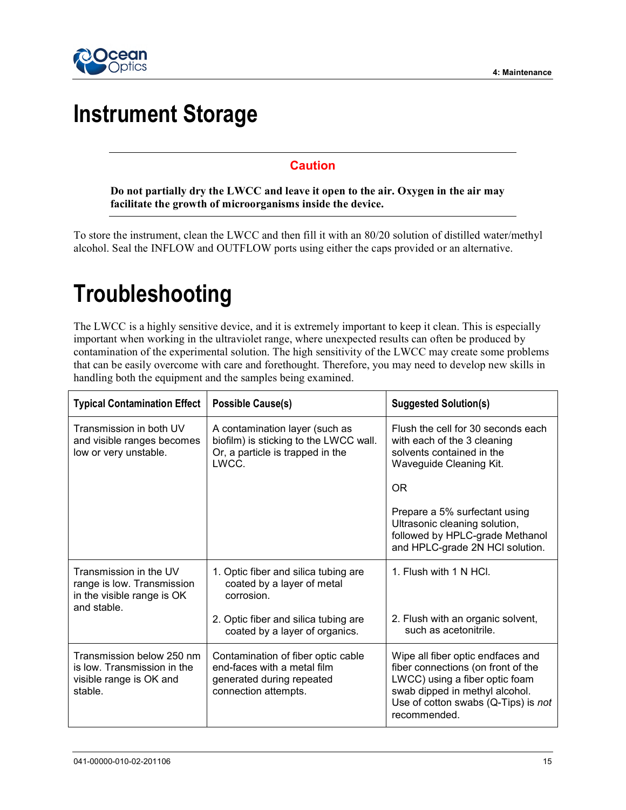<span id="page-22-0"></span>

## **Instrument Storage**

#### **Caution**

**Do not partially dry the LWCC and leave it open to the air. Oxygen in the air may facilitate the growth of microorganisms inside the device.**

<span id="page-22-1"></span>To store the instrument, clean the LWCC and then fill it with an 80/20 solution of distilled water/methyl alcohol. Seal the INFLOW and OUTFLOW ports using either the caps provided or an alternative.

# **Troubleshooting**

The LWCC is a highly sensitive device, and it is extremely important to keep it clean. This is especially important when working in the ultraviolet range, where unexpected results can often be produced by contamination of the experimental solution. The high sensitivity of the LWCC may create some problems that can be easily overcome with care and forethought. Therefore, you may need to develop new skills in handling both the equipment and the samples being examined.

| <b>Typical Contamination Effect</b>                                                               | <b>Possible Cause(s)</b>                                                                                               | <b>Suggested Solution(s)</b>                                                                                                                                                                       |
|---------------------------------------------------------------------------------------------------|------------------------------------------------------------------------------------------------------------------------|----------------------------------------------------------------------------------------------------------------------------------------------------------------------------------------------------|
| Transmission in both UV<br>and visible ranges becomes<br>low or very unstable.                    | A contamination layer (such as<br>biofilm) is sticking to the LWCC wall.<br>Or, a particle is trapped in the<br>LWCC.  | Flush the cell for 30 seconds each<br>with each of the 3 cleaning<br>solvents contained in the<br>Waveguide Cleaning Kit.                                                                          |
|                                                                                                   |                                                                                                                        | <b>OR</b>                                                                                                                                                                                          |
|                                                                                                   |                                                                                                                        | Prepare a 5% surfectant using<br>Ultrasonic cleaning solution,<br>followed by HPLC-grade Methanol<br>and HPLC-grade 2N HCl solution.                                                               |
| Transmission in the UV<br>range is low. Transmission<br>in the visible range is OK<br>and stable. | 1. Optic fiber and silica tubing are<br>coated by a layer of metal<br>corrosion.                                       | 1. Flush with 1 N HCL                                                                                                                                                                              |
|                                                                                                   | 2. Optic fiber and silica tubing are<br>coated by a layer of organics.                                                 | 2. Flush with an organic solvent,<br>such as acetonitrile.                                                                                                                                         |
| Transmission below 250 nm<br>is low. Transmission in the<br>visible range is OK and<br>stable.    | Contamination of fiber optic cable<br>end-faces with a metal film<br>generated during repeated<br>connection attempts. | Wipe all fiber optic endfaces and<br>fiber connections (on front of the<br>LWCC) using a fiber optic foam<br>swab dipped in methyl alcohol.<br>Use of cotton swabs (Q-Tips) is not<br>recommended. |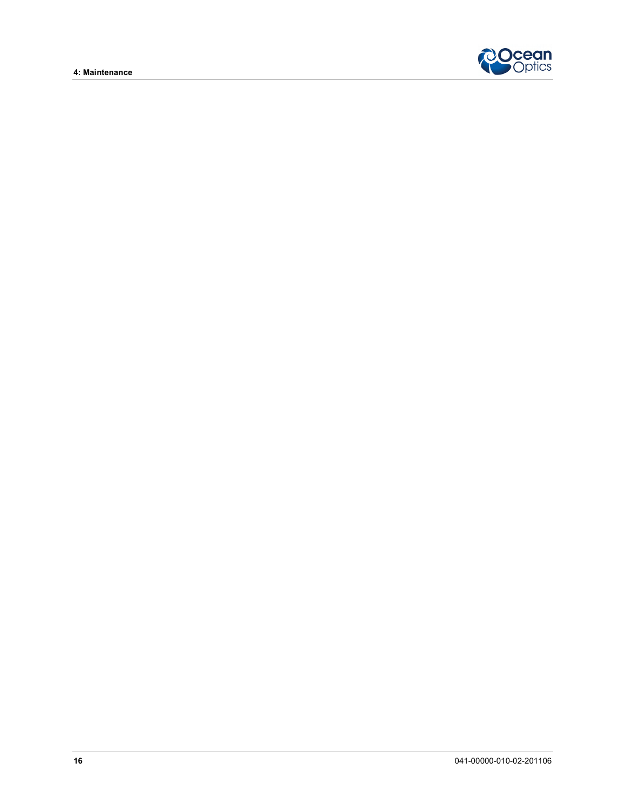**4: Maintenance**

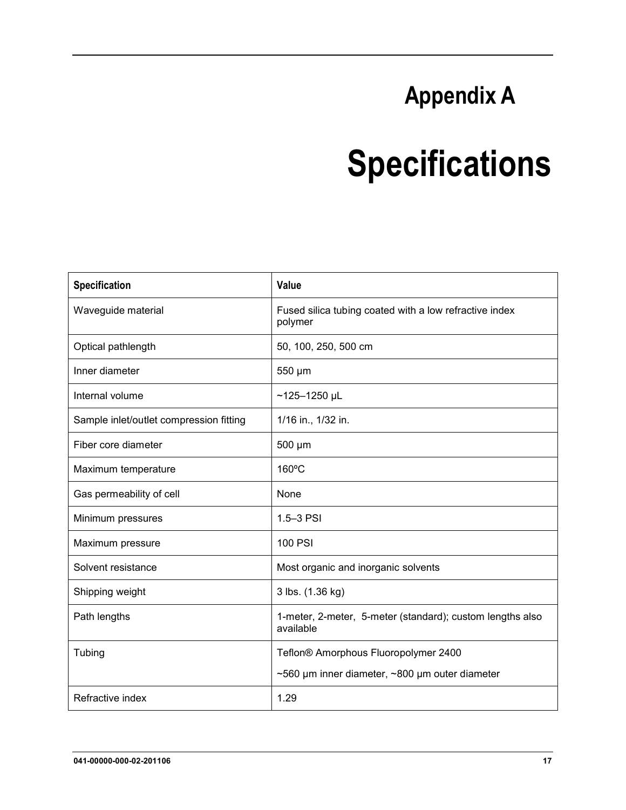# **Appendix A**

# **Specifications**

<span id="page-24-0"></span>

| <b>Specification</b>                    | Value                                                                  |
|-----------------------------------------|------------------------------------------------------------------------|
| Waveguide material                      | Fused silica tubing coated with a low refractive index<br>polymer      |
| Optical pathlength                      | 50, 100, 250, 500 cm                                                   |
| Inner diameter                          | 550 µm                                                                 |
| Internal volume                         | $~125 - 1250 \,\mu$ L                                                  |
| Sample inlet/outlet compression fitting | 1/16 in., 1/32 in.                                                     |
| Fiber core diameter                     | $500 \mu m$                                                            |
| Maximum temperature                     | $160^{\circ}$ C                                                        |
| Gas permeability of cell                | None                                                                   |
| Minimum pressures                       | $1.5 - 3$ PSI                                                          |
| Maximum pressure                        | <b>100 PSI</b>                                                         |
| Solvent resistance                      | Most organic and inorganic solvents                                    |
| Shipping weight                         | 3 lbs. (1.36 kg)                                                       |
| Path lengths                            | 1-meter, 2-meter, 5-meter (standard); custom lengths also<br>available |
| Tubing                                  | Teflon® Amorphous Fluoropolymer 2400                                   |
|                                         | ~560 µm inner diameter, ~800 µm outer diameter                         |
| Refractive index                        | 1.29                                                                   |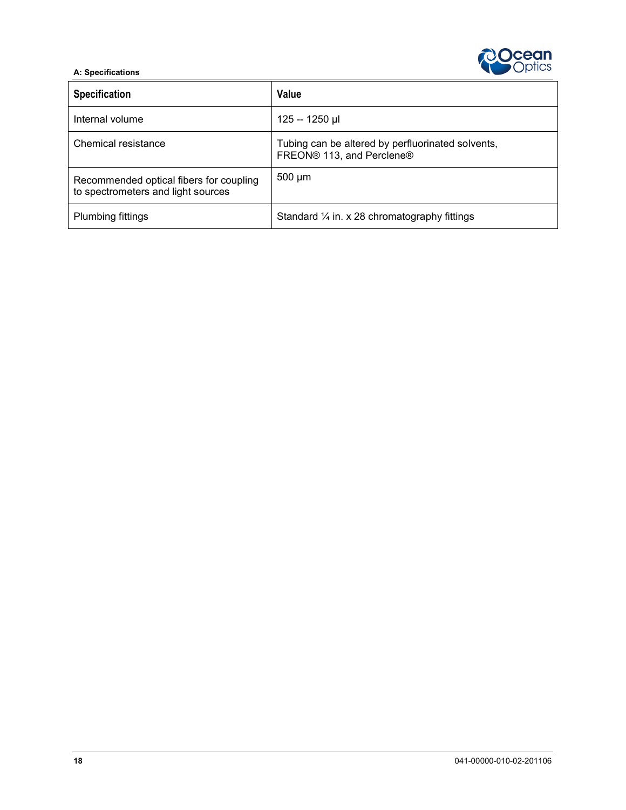

#### **A: Specifications**

| <b>Specification</b>                                                          | Value                                                                          |
|-------------------------------------------------------------------------------|--------------------------------------------------------------------------------|
| Internal volume                                                               | 125 -- 1250 µl                                                                 |
| Chemical resistance                                                           | Tubing can be altered by perfluorinated solvents,<br>FREON® 113, and Perclene® |
| Recommended optical fibers for coupling<br>to spectrometers and light sources | $500 \mu m$                                                                    |
| <b>Plumbing fittings</b>                                                      | Standard $\frac{1}{4}$ in. x 28 chromatography fittings                        |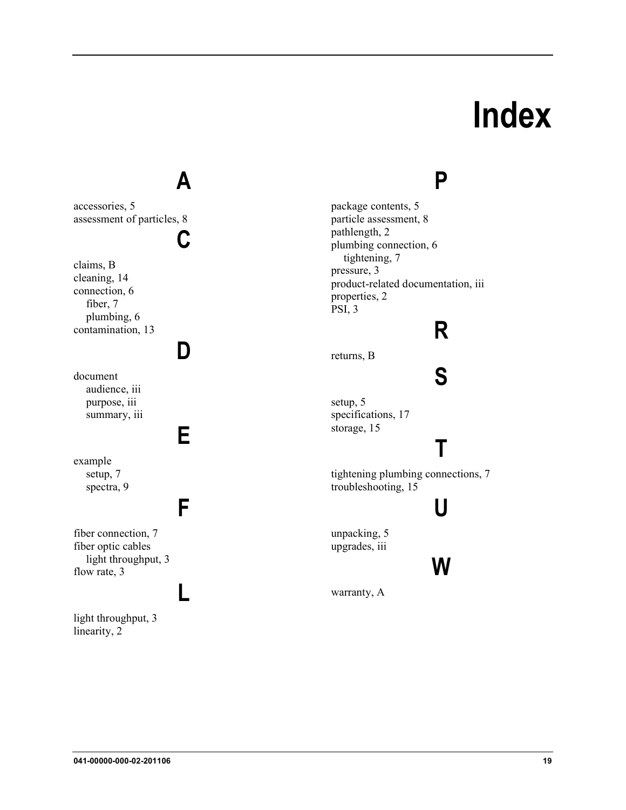# **Index**

# **A**

<span id="page-26-0"></span>accessories, 5 assessment of particles, 8

### **C**

claims, B cleaning, 14 connection, 6 fiber, 7 plumbing, 6 contamination, 13

# **D**

document audience, iii purpose, iii summary, iii

example setup, 7 spectra, 9

### **F**

**E**

fiber connection, 7 fiber optic cables light throughput, 3 flow rate, 3

## **L**

light throughput, 3 linearity, 2

### **P**

package contents, 5 particle assessment, 8 pathlength, 2 plumbing connection, 6 tightening, 7 pressure, 3 product-related documentation, iii properties, 2 PSI, 3

### **R**

returns, B

### **S**

setup, 5 specifications, 17 storage, 15

### **T**

tightening plumbing connections, 7 troubleshooting, 15

### **U**

unpacking, 5 upgrades, iii

### **W**

warranty, A